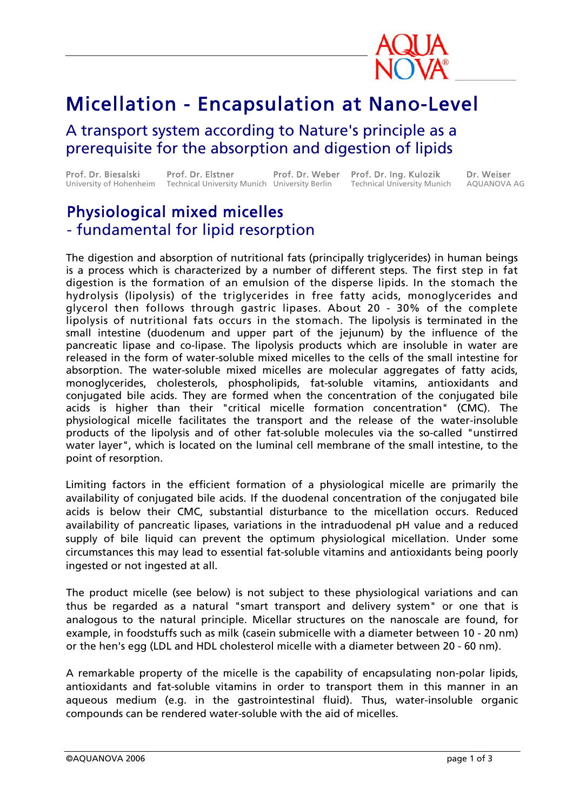

# Micellation - Encapsulation at Nano-Level

### A transport system according to Nature's principle as a prerequisite for the absorption and digestion of lipids

**Prof. Dr. Biesalski**<br>University of Hobenh University of Hohenheim Prof. Dr. Elstner Technical University Munich University Berlin Prof. Dr. Ing. Kulozik Technical University Munich Prof. Dr. Weber

Dr. Weiser AQUANOVA AG

#### Physiological mixed micelles - fundamental for lipid resorption

The digestion and absorption of nutritional fats (principally triglycerides) in human beings is a process which is characterized by a number of different steps. The first step in fat digestion is the formation of an emulsion of the disperse lipids. In the stomach the hydrolysis (lipolysis) of the triglycerides in free fatty acids, monoglycerides and glycerol then follows through gastric lipases. About 20 - 30% of the complete lipolysis of nutritional fats occurs in the stomach. The lipolysis is terminated in the small intestine (duodenum and upper part of the jejunum) by the influence of the pancreatic lipase and co-lipase. The lipolysis products which are insoluble in water are released in the form of water-soluble mixed micelles to the cells of the small intestine for absorption. The water-soluble mixed micelles are molecular aggregates of fatty acids, monoglycerides, cholesterols, phospholipids, fat-soluble vitamins, antioxidants and conjugated bile acids. They are formed when the concentration of the conjugated bile acids is higher than their "critical micelle formation concentration" (CMC). The physiological micelle facilitates the transport and the release of the water-insoluble products of the lipolysis and of other fat-soluble molecules via the so-called "unstirred water layer", which is located on the luminal cell membrane of the small intestine, to the point of resorption.

Limiting factors in the efficient formation of a physiological micelle are primarily the availability of conjugated bile acids. If the duodenal concentration of the conjugated bile acids is below their CMC, substantial disturbance to the micellation occurs. Reduced availability of pancreatic lipases, variations in the intraduodenal pH value and a reduced supply of bile liquid can prevent the optimum physiological micellation. Under some circumstances this may lead to essential fat-soluble vitamins and antioxidants being poorly ingested or not ingested at all.

The product micelle (see below) is not subject to these physiological variations and can thus be regarded as a natural "smart transport and delivery system" or one that is analogous to the natural principle. Micellar structures on the nanoscale are found, for example, in foodstuffs such as milk (casein submicelle with a diameter between 10 - 20 nm) or the hen's egg (LDL and HDL cholesterol micelle with a diameter between 20 - 60 nm).

A remarkable property of the micelle is the capability of encapsulating non-polar lipids, antioxidants and fat-soluble vitamins in order to transport them in this manner in an aqueous medium (e.g. in the gastrointestinal fluid). Thus, water-insoluble organic compounds can be rendered water-soluble with the aid of micelles.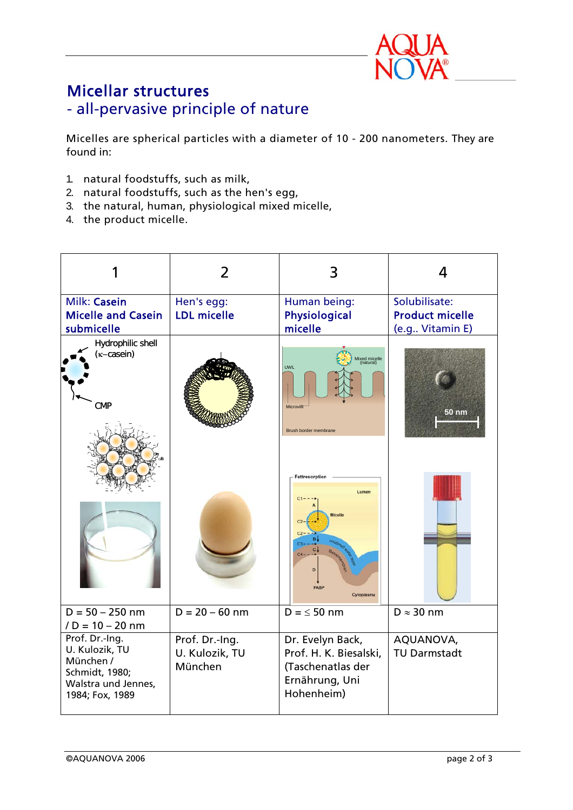

### Micellar structures - all-pervasive principle of nature

Micelles are spherical particles with a diameter of 10 - 200 nanometers. They are found in:

- 1. natural foodstuffs, such as milk,
- 2. natural foodstuffs, such as the hen's egg,
- 3. the natural, human, physiological mixed micelle,
- 4. the product micelle.